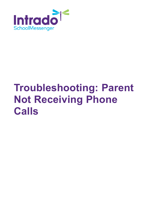

# **Troubleshooting: Parent Not Receiving Phone Calls**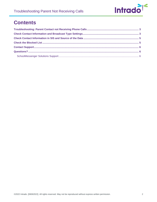

#### **Contents**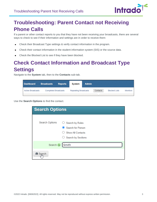

# <span id="page-2-0"></span>**Troubleshooting: Parent Contact not Receiving Phone Calls**

If a parent or other contact reports to you that they have not been receiving your broadcasts, there are several ways to check to see if their information and settings are in order to receive them:

- Check their Broadcast Type settings & verify contact information in the program.  $\bullet$
- Check their contact information in the student information system (SIS) or the source data.  $\bullet$
- Check the Blocked List to see if they have been blocked.

# <span id="page-2-1"></span>**Check Contact Information and Broadcast Type Settings**

Navigate to the **System** tab, then to the **Contacts** sub-tab.

| <b>Dashboard</b>         | <b>Broadcasts</b>           | <b>Reports</b> | System                      | <b>Admin</b> |          |                      |                 |
|--------------------------|-----------------------------|----------------|-----------------------------|--------------|----------|----------------------|-----------------|
| <b>Active Broadcasts</b> | <b>Completed Broadcasts</b> |                | <b>Repeating Broadcasts</b> |              | Contacts | <b>Blocked Lists</b> | <b>Monitors</b> |
|                          |                             |                |                             |              |          |                      |                 |

Use the **Search Options** to find the contact.

| <b>Search Options</b> |                                                                                                   |  |  |  |  |  |
|-----------------------|---------------------------------------------------------------------------------------------------|--|--|--|--|--|
| Search Options        | $\bigcirc$ Search by Rules<br>Search for Person<br><b>Show All Contacts</b><br>Search by Sections |  |  |  |  |  |
| Search <b>O</b>       | Smith                                                                                             |  |  |  |  |  |
| <b>尚</b> Search       |                                                                                                   |  |  |  |  |  |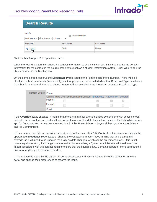

| <b>Search Results</b>                                                                      |                   |                  |  |  |  |  |
|--------------------------------------------------------------------------------------------|-------------------|------------------|--|--|--|--|
| Sort By<br>Show/Hide Fields<br>Last Name $\vee$ First Name $\vee$ - None -<br>$\checkmark$ |                   |                  |  |  |  |  |
| <b>Unique ID</b>                                                                           | <b>First Name</b> | <b>Last Name</b> |  |  |  |  |
| $\frac{102834}{m}$                                                                         | Smith             | Helena           |  |  |  |  |

Click on their **Unique ID** to open their record.

When the record is open, first check the contact information to see if it is correct. If it is not, update the contact information for the contact in the source of the data (such as a student information system). Click **Add** to add the phone number to the Blocked List.

On the same screen, observe the **Broadcast Types** listed to the right of each phone number. There will be a check in the box under each Broadcast Type if that phone number is called when that Broadcast Type is selected. If the box is un-checked, then that phone number will not be called if the broadcast uses that Broadcast Type.

| <b>Contact Details: Phone</b> |         |                                                                        |               |               |               |
|-------------------------------|---------|------------------------------------------------------------------------|---------------|---------------|---------------|
|                               |         | Contact Type Override Destination Consent Emergency Attendance General |               |               |               |
|                               | Phone 1 |                                                                        | $\mathcal{L}$ | <b>Marine</b> | $\mathcal{L}$ |
|                               | Phone 2 |                                                                        | $\sim$        |               |               |
|                               | Email   |                                                                        |               |               |               |

If the **Override** box is checked, it means that there is a manual override placed by someone with access to edit contacts, or the contact has modified their consent in a parent portal of some kind, such as the SchoolMessenger app for Communicate, or one that is related to a SIS like PowerSchool or Skyward that syncs in a special way back to Communicate.

If it is a manual override, a user with access to edit contacts can click **Edit Contact** on this screen and check the appropriate **Broadcast Type** boxes or change the contact information (keep in mind that this is a manual override, so it will need to be updated manually as data changes, which can be an immense task – this is not commonly done). Also, if a change is made to the phone number, a System Administrator will need to run the import associated with this contact again to ensure that the changes stay. Contact support for more assistance if unsure of anything with manual overrides.

If it is an override made by the parent via portal access, you will usually want to have the parent log in to the portal and change their preferences to resolve the issue.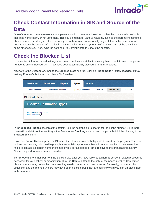

# <span id="page-4-0"></span>**Check Contact Information in SIS and Source of the Data**

One of the most common reasons that a parent would not receive a broadcast is that the contact information is incorrect, nonexistent, or not up to date. This could happen for various reasons, such as the parent changing their phone number, or adding another one, and just not having a chance to tell you yet. If this is the case, you will need to update the contact information in the student information system (SIS) or the source of the data if it is some other source. Then, sync the data back to Communicate to update the contact.

## <span id="page-4-1"></span>**Check the Blocked List**

If the contact information and settings are correct, but they are still not receiving them, check to see if the phone number is on the Blocked List. It may have been automatically blocked, or manually added.

Navigate to the **System** tab, then to the **Blocked Lists** sub-tab. Click on **Phone Calls / Text Messages**. It may just say Phone Calls if you do not have SMS enabled.

| <b>Dashboard</b>                               | <b>Broadcasts</b>           | <b>Reports</b> | <b>System</b>               | <b>Admin</b> |          |                      |                 |
|------------------------------------------------|-----------------------------|----------------|-----------------------------|--------------|----------|----------------------|-----------------|
| <b>Active Broadcasts</b>                       | <b>Completed Broadcasts</b> |                | <b>Repeating Broadcasts</b> |              | Contacts | <b>Blocked Lists</b> | <b>Monitors</b> |
| <b>Blocked Lists</b>                           |                             |                |                             |              |          |                      |                 |
| <b>Blocked Destination Types</b>               |                             |                |                             |              |          |                      |                 |
| Phone Calls / Text Messages<br>Email Addresses |                             |                |                             |              |          |                      |                 |
|                                                |                             |                |                             |              |          |                      |                 |

In the **Blocked Phones** section at the bottom, use the search field to search for the phone number. If it is there, there will be details of the blocking in the **Reason for Blocking** column, and the party that did the blocking in the **Blocked by** column.

If you see **SchoolMessenger** in the **Blocked by** column, it was probably auto-blocked by the program. There are various reasons why this could happen, but essentially a phone number will be auto-blocked if the system has failed to contact it a certain number of times over a certain period of time, relative to the broadcast frequency. Contact support for more details if needed.

To **remove** a phone number from the Blocked List, after you have followed all normal consent-related procedures necessary for your school or organization, click the **Delete** button to the right of the phone number. Sometimes, phone numbers may be blocked because they are disconnected and reconnected frequently, or other similar situations, and the phone numbers may have been blocked, but if they are definitely valid you can un-block them in this manner.